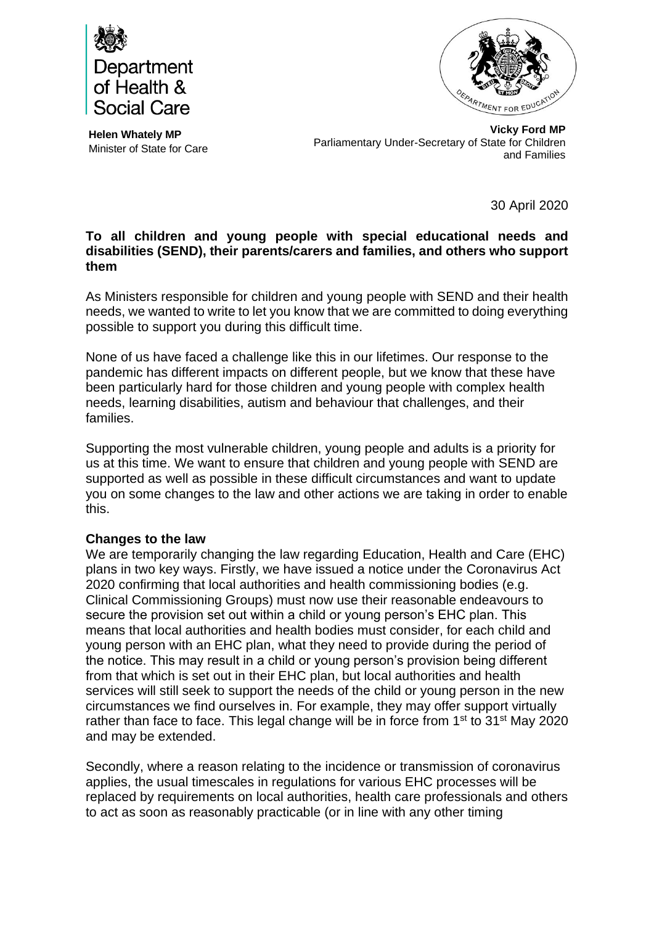



**Helen Whately MP** Minister of State for Care

**Vicky Ford MP** Parliamentary Under-Secretary of State for Children and Families

30 April 2020

## **To all children and young people with special educational needs and disabilities (SEND), their parents/carers and families, and others who support them**

As Ministers responsible for children and young people with SEND and their health needs, we wanted to write to let you know that we are committed to doing everything possible to support you during this difficult time.

None of us have faced a challenge like this in our lifetimes. Our response to the pandemic has different impacts on different people, but we know that these have been particularly hard for those children and young people with complex health needs, learning disabilities, autism and behaviour that challenges, and their families.

Supporting the most vulnerable children, young people and adults is a priority for us at this time. We want to ensure that children and young people with SEND are supported as well as possible in these difficult circumstances and want to update you on some changes to the law and other actions we are taking in order to enable this.

## **Changes to the law**

We are temporarily changing the law regarding Education, Health and Care (EHC) plans in two key ways. Firstly, we have issued a notice under the Coronavirus Act 2020 confirming that local authorities and health commissioning bodies (e.g. Clinical Commissioning Groups) must now use their reasonable endeavours to secure the provision set out within a child or young person's EHC plan. This means that local authorities and health bodies must consider, for each child and young person with an EHC plan, what they need to provide during the period of the notice. This may result in a child or young person's provision being different from that which is set out in their EHC plan, but local authorities and health services will still seek to support the needs of the child or young person in the new circumstances we find ourselves in. For example, they may offer support virtually rather than face to face. This legal change will be in force from 1<sup>st</sup> to 31<sup>st</sup> May 2020 and may be extended.

Secondly, where a reason relating to the incidence or transmission of coronavirus applies, the usual timescales in regulations for various EHC processes will be replaced by requirements on local authorities, health care professionals and others to act as soon as reasonably practicable (or in line with any other timing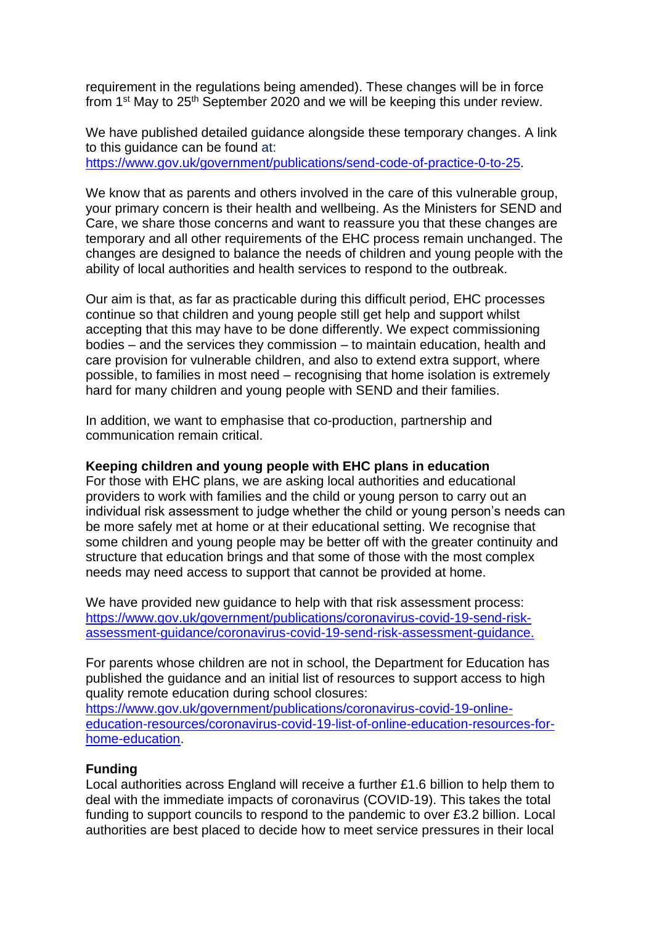requirement in the regulations being amended). These changes will be in force from  $1<sup>st</sup>$  May to  $25<sup>th</sup>$  September 2020 and we will be keeping this under review.

We have published detailed guidance alongside these temporary changes. A link to this guidance can be found at: [https://www.gov.uk/government/publications/send-code-of-practice-0-to-25.](https://www.gov.uk/government/publications/send-code-of-practice-0-to-25)

We know that as parents and others involved in the care of this vulnerable group, your primary concern is their health and wellbeing. As the Ministers for SEND and Care, we share those concerns and want to reassure you that these changes are temporary and all other requirements of the EHC process remain unchanged. The changes are designed to balance the needs of children and young people with the ability of local authorities and health services to respond to the outbreak.

Our aim is that, as far as practicable during this difficult period, EHC processes continue so that children and young people still get help and support whilst accepting that this may have to be done differently. We expect commissioning bodies – and the services they commission – to maintain education, health and care provision for vulnerable children, and also to extend extra support, where possible, to families in most need – recognising that home isolation is extremely hard for many children and young people with SEND and their families.

In addition, we want to emphasise that co-production, partnership and communication remain critical.

### **Keeping children and young people with EHC plans in education**

For those with EHC plans, we are asking local authorities and educational providers to work with families and the child or young person to carry out an individual risk assessment to judge whether the child or young person's needs can be more safely met at home or at their educational setting. We recognise that some children and young people may be better off with the greater continuity and structure that education brings and that some of those with the most complex needs may need access to support that cannot be provided at home.

We have provided new guidance to help with that risk assessment process: [https://www.gov.uk/government/publications/coronavirus-covid-19-send-risk](https://www.gov.uk/government/publications/coronavirus-covid-19-send-risk-assessment-guidance/coronavirus-covid-19-send-risk-assessment-guidance)[assessment-guidance/coronavirus-covid-19-send-risk-assessment-guidance.](https://www.gov.uk/government/publications/coronavirus-covid-19-send-risk-assessment-guidance/coronavirus-covid-19-send-risk-assessment-guidance)

For parents whose children are not in school, the Department for Education has published the guidance and an initial list of resources to support access to high quality remote education during school closures:

[https://www.gov.uk/government/publications/coronavirus-covid-19-online](https://www.gov.uk/government/publications/coronavirus-covid-19-online-education-resources/coronavirus-covid-19-list-of-online-education-resources-for-home-education)[education-resources/coronavirus-covid-19-list-of-online-education-resources-for](https://www.gov.uk/government/publications/coronavirus-covid-19-online-education-resources/coronavirus-covid-19-list-of-online-education-resources-for-home-education)[home-education.](https://www.gov.uk/government/publications/coronavirus-covid-19-online-education-resources/coronavirus-covid-19-list-of-online-education-resources-for-home-education)

### **Funding**

Local authorities across England will receive a further £1.6 billion to help them to deal with the immediate impacts of coronavirus (COVID-19). This takes the total funding to support councils to respond to the pandemic to over £3.2 billion. Local authorities are best placed to decide how to meet service pressures in their local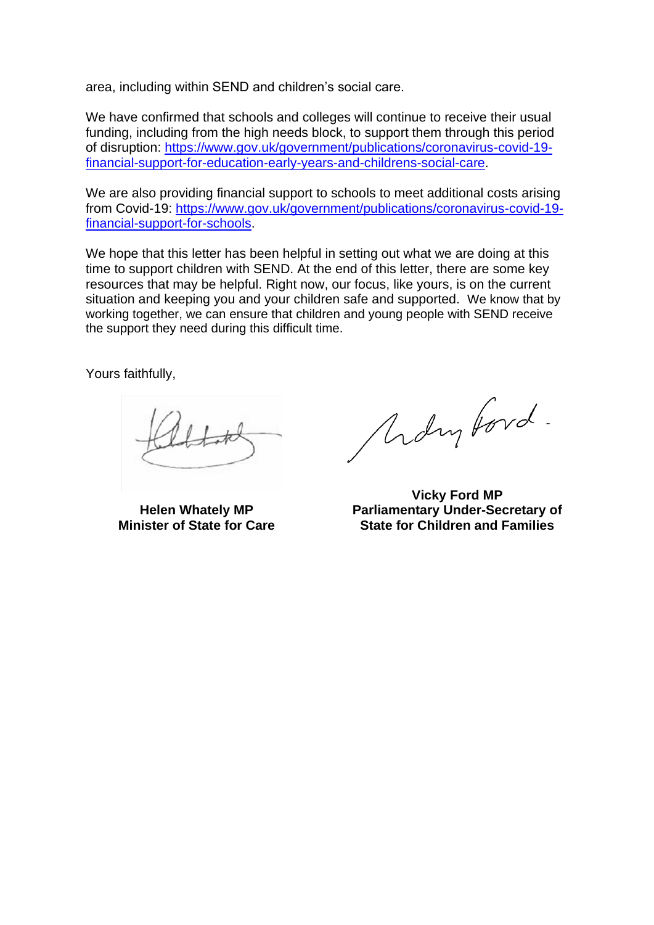area, including within SEND and children's social care.

We have confirmed that schools and colleges will continue to receive their usual funding, including from the high needs block, to support them through this period of disruption: [https://www.gov.uk/government/publications/coronavirus-covid-19](https://www.gov.uk/government/publications/coronavirus-covid-19-financial-support-for-education-early-years-and-childrens-social-care) [financial-support-for-education-early-years-and-childrens-social-care.](https://www.gov.uk/government/publications/coronavirus-covid-19-financial-support-for-education-early-years-and-childrens-social-care)

We are also providing financial support to schools to meet additional costs arising from Covid-19: [https://www.gov.uk/government/publications/coronavirus-covid-19](https://www.gov.uk/government/publications/coronavirus-covid-19-financial-support-for-schools) [financial-support-for-schools.](https://www.gov.uk/government/publications/coronavirus-covid-19-financial-support-for-schools)

We hope that this letter has been helpful in setting out what we are doing at this time to support children with SEND. At the end of this letter, there are some key resources that may be helpful. Right now, our focus, like yours, is on the current situation and keeping you and your children safe and supported. We know that by working together, we can ensure that children and young people with SEND receive the support they need during this difficult time.

Yours faithfully,

**Helen Whately MP Minister of State for Care**

Molin Ford.

**Vicky Ford MP Parliamentary Under-Secretary of State for Children and Families**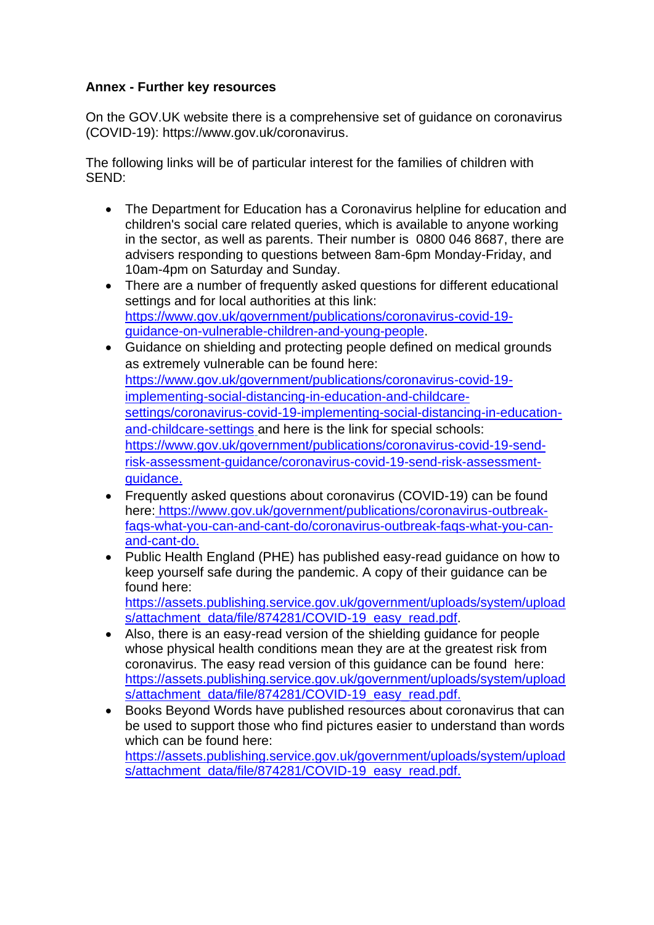# **Annex - Further key resources**

On the GOV.UK website there is a comprehensive set of guidance on coronavirus (COVID-19): [https://www.gov.uk/coronavirus.](https://www.gov.uk/coronavirus)

The following links will be of particular interest for the families of children with SEND:

- The Department for Education has a Coronavirus helpline for education and children's social care related queries, which is available to anyone working in the sector, as well as parents. Their number is 0800 046 8687, there are advisers responding to questions between 8am-6pm Monday-Friday, and 10am-4pm on Saturday and Sunday.
- There are a number of frequently asked questions for different educational settings and for local authorities at this link: [https://www.gov.uk/government/publications/coronavirus-covid-19](https://www.gov.uk/government/publications/coronavirus-covid-19-guidance-on-vulnerable-children-and-young-people) [guidance-on-vulnerable-children-and-young-people.](https://www.gov.uk/government/publications/coronavirus-covid-19-guidance-on-vulnerable-children-and-young-people)
- Guidance on shielding and protecting people defined on medical grounds as extremely vulnerable can be found here: [https://www.gov.uk/government/publications/coronavirus-covid-19](https://www.gov.uk/government/publications/coronavirus-covid-19-implementing-social-distancing-in-education-and-childcare-settings/coronavirus-covid-19-implementing-social-distancing-in-education-and-childcare-settings) [implementing-social-distancing-in-education-and-childcare](https://www.gov.uk/government/publications/coronavirus-covid-19-implementing-social-distancing-in-education-and-childcare-settings/coronavirus-covid-19-implementing-social-distancing-in-education-and-childcare-settings)[settings/coronavirus-covid-19-implementing-social-distancing-in-education](https://www.gov.uk/government/publications/coronavirus-covid-19-implementing-social-distancing-in-education-and-childcare-settings/coronavirus-covid-19-implementing-social-distancing-in-education-and-childcare-settings)[and-childcare-settings](https://www.gov.uk/government/publications/coronavirus-covid-19-implementing-social-distancing-in-education-and-childcare-settings/coronavirus-covid-19-implementing-social-distancing-in-education-and-childcare-settings) and here is the link for special schools: [https://www.gov.uk/government/publications/coronavirus-covid-19-send](https://www.gov.uk/government/publications/coronavirus-covid-19-send-risk-assessment-guidance/coronavirus-covid-19-send-risk-assessment-guidance)[risk-assessment-guidance/coronavirus-covid-19-send-risk-assessment](https://www.gov.uk/government/publications/coronavirus-covid-19-send-risk-assessment-guidance/coronavirus-covid-19-send-risk-assessment-guidance)[guidance.](https://www.gov.uk/government/publications/coronavirus-covid-19-send-risk-assessment-guidance/coronavirus-covid-19-send-risk-assessment-guidance)
- Frequently asked questions about coronavirus (COVID-19) can be found here: [https://www.gov.uk/government/publications/coronavirus-outbreak](https://www.gov.uk/government/publications/coronavirus-outbreak-faqs-what-you-can-and-cant-do/coronavirus-outbreak-faqs-what-you-can-and-cant-do)[faqs-what-you-can-and-cant-do/coronavirus-outbreak-faqs-what-you-can](https://www.gov.uk/government/publications/coronavirus-outbreak-faqs-what-you-can-and-cant-do/coronavirus-outbreak-faqs-what-you-can-and-cant-do)[and-cant-do.](https://www.gov.uk/government/publications/coronavirus-outbreak-faqs-what-you-can-and-cant-do/coronavirus-outbreak-faqs-what-you-can-and-cant-do)
- Public Health England (PHE) has published easy-read guidance on how to keep yourself safe during the pandemic. A copy of their guidance can be found here: [https://assets.publishing.service.gov.uk/government/uploads/system/upload](https://assets.publishing.service.gov.uk/government/uploads/system/uploads/attachment_data/file/874281/COVID-19_easy_read.pdf)

[s/attachment\\_data/file/874281/COVID-19\\_easy\\_read.pdf.](https://assets.publishing.service.gov.uk/government/uploads/system/uploads/attachment_data/file/874281/COVID-19_easy_read.pdf)

- Also, there is an easy-read version of the shielding guidance for people whose physical health conditions mean they are at the greatest risk from coronavirus. The easy read version of this guidance can be found here: [https://assets.publishing.service.gov.uk/government/uploads/system/upload](https://assets.publishing.service.gov.uk/government/uploads/system/uploads/attachment_data/file/874281/COVID-19_easy_read.pdf) [s/attachment\\_data/file/874281/COVID-19\\_easy\\_read.pdf.](https://assets.publishing.service.gov.uk/government/uploads/system/uploads/attachment_data/file/874281/COVID-19_easy_read.pdf)
- Books Beyond Words have published resources about coronavirus that can be used to support those who find pictures easier to understand than words which can be found here: [https://assets.publishing.service.gov.uk/government/uploads/system/upload](https://assets.publishing.service.gov.uk/government/uploads/system/uploads/attachment_data/file/874281/COVID-19_easy_read.pdf)

[s/attachment\\_data/file/874281/COVID-19\\_easy\\_read.pdf.](https://assets.publishing.service.gov.uk/government/uploads/system/uploads/attachment_data/file/874281/COVID-19_easy_read.pdf)